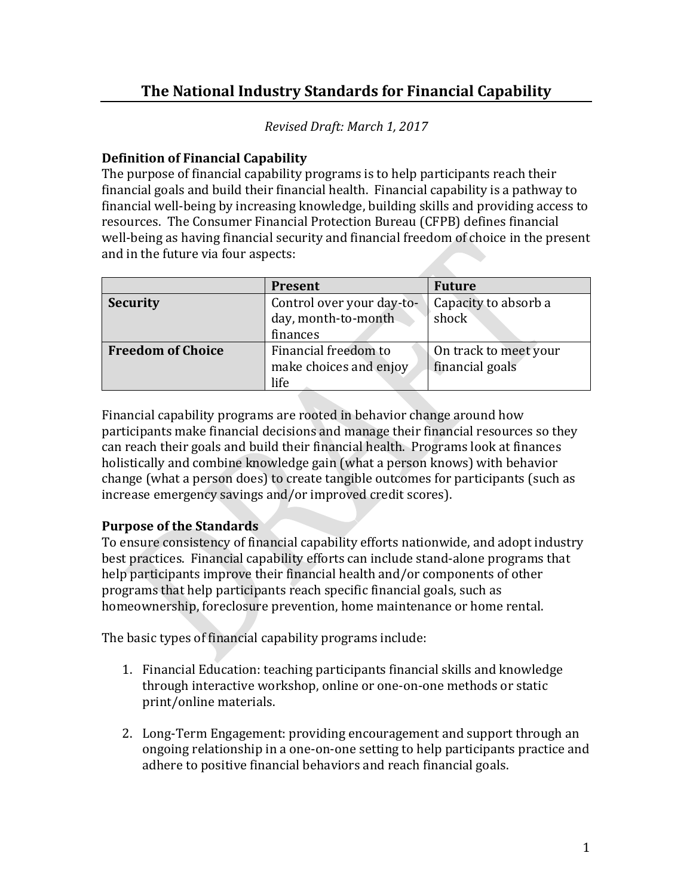## **The National Industry Standards for Financial Capability**

*Revised Draft: March 1, 2017*

## **Definition of Financial Capability**

The purpose of financial capability programs is to help participants reach their financial goals and build their financial health. Financial capability is a pathway to financial well-being by increasing knowledge, building skills and providing access to resources. The Consumer Financial Protection Bureau (CFPB) defines financial well-being as having financial security and financial freedom of choice in the present and in the future via four aspects:

|                          | Present                   | <b>Future</b>         |  |  |  |  |
|--------------------------|---------------------------|-----------------------|--|--|--|--|
| <b>Security</b>          | Control over your day-to- | Capacity to absorb a  |  |  |  |  |
|                          | day, month-to-month       | shock                 |  |  |  |  |
|                          | finances                  |                       |  |  |  |  |
| <b>Freedom of Choice</b> | Financial freedom to      | On track to meet your |  |  |  |  |
|                          | make choices and enjoy    | financial goals       |  |  |  |  |
|                          | life                      |                       |  |  |  |  |

Financial capability programs are rooted in behavior change around how participants make financial decisions and manage their financial resources so they can reach their goals and build their financial health. Programs look at finances holistically and combine knowledge gain (what a person knows) with behavior change (what a person does) to create tangible outcomes for participants (such as increase emergency savings and/or improved credit scores).

## **Purpose of the Standards**

To ensure consistency of financial capability efforts nationwide, and adopt industry best practices. Financial capability efforts can include stand-alone programs that help participants improve their financial health and/or components of other programs that help participants reach specific financial goals, such as homeownership, foreclosure prevention, home maintenance or home rental.

The basic types of financial capability programs include:

- 1. Financial Education: teaching participants financial skills and knowledge through interactive workshop, online or one-on-one methods or static print/online materials.
- 2. Long-Term Engagement: providing encouragement and support through an ongoing relationship in a one-on-one setting to help participants practice and adhere to positive financial behaviors and reach financial goals.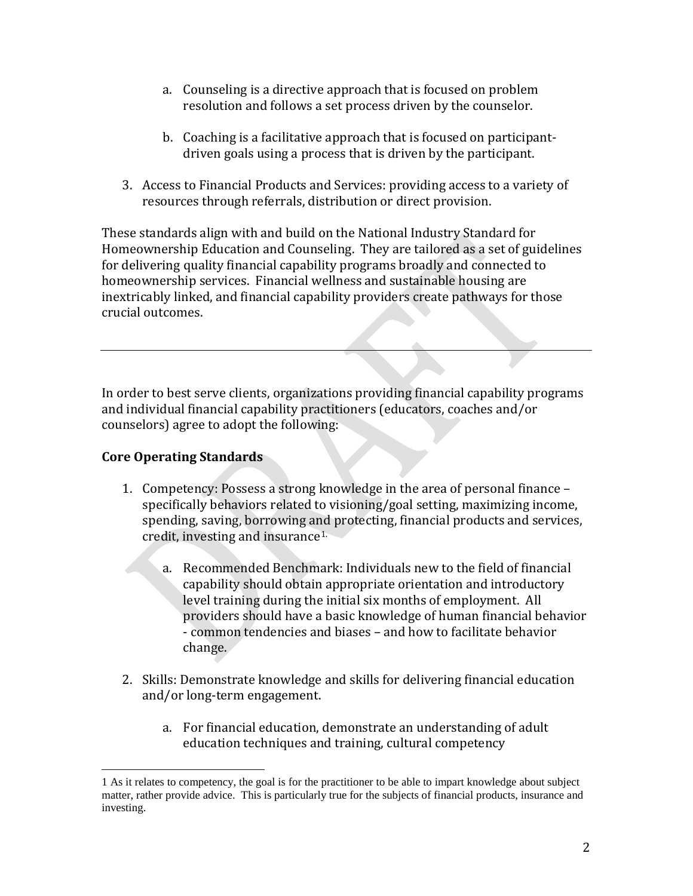- a. Counseling is a directive approach that is focused on problem resolution and follows a set process driven by the counselor.
- b. Coaching is a facilitative approach that is focused on participantdriven goals using a process that is driven by the participant.
- 3. Access to Financial Products and Services: providing access to a variety of resources through referrals, distribution or direct provision.

These standards align with and build on the National Industry Standard for Homeownership Education and Counseling. They are tailored as a set of guidelines for delivering quality financial capability programs broadly and connected to homeownership services. Financial wellness and sustainable housing are inextricably linked, and financial capability providers create pathways for those crucial outcomes.

In order to best serve clients, organizations providing financial capability programs and individual financial capability practitioners (educators, coaches and/or counselors) agree to adopt the following:

## **Core Operating Standards**

- 1. Competency: Possess a strong knowledge in the area of personal finance specifically behaviors related to visioning/goal setting, maximizing income, spending, saving, borrowing and protecting, financial products and services, credit, investing and insurance[1](#page-1-0).
	- a. Recommended Benchmark: Individuals new to the field of financial capability should obtain appropriate orientation and introductory level training during the initial six months of employment. All providers should have a basic knowledge of human financial behavior - common tendencies and biases – and how to facilitate behavior change.
- 2. Skills: Demonstrate knowledge and skills for delivering financial education and/or long-term engagement.
	- a. For financial education, demonstrate an understanding of adult education techniques and training, cultural competency

<span id="page-1-0"></span><sup>1</sup> As it relates to competency, the goal is for the practitioner to be able to impart knowledge about subject matter, rather provide advice. This is particularly true for the subjects of financial products, insurance and investing.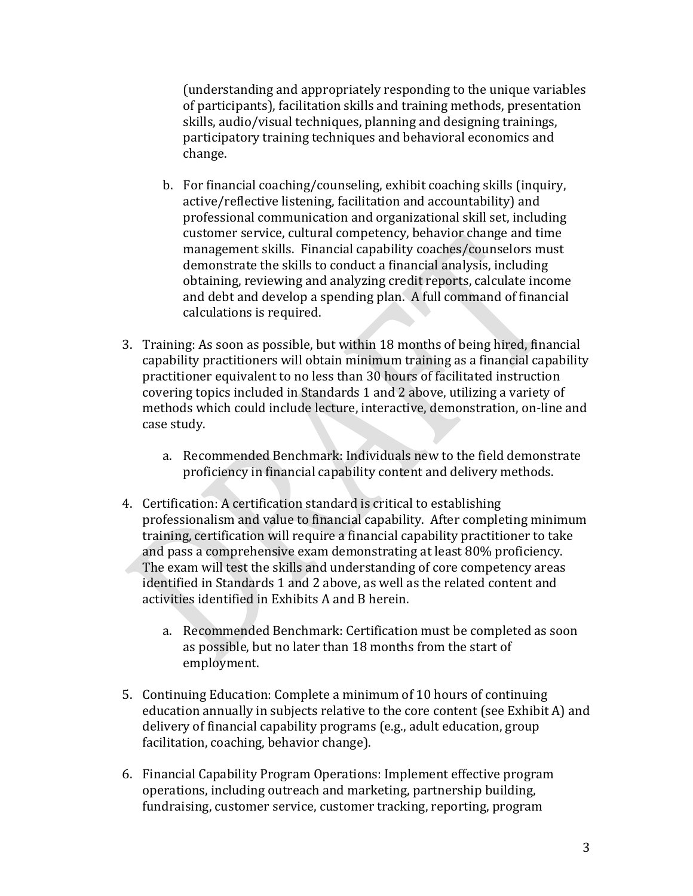(understanding and appropriately responding to the unique variables of participants), facilitation skills and training methods, presentation skills, audio/visual techniques, planning and designing trainings, participatory training techniques and behavioral economics and change.

- b. For financial coaching/counseling, exhibit coaching skills (inquiry, active/reflective listening, facilitation and accountability) and professional communication and organizational skill set, including customer service, cultural competency, behavior change and time management skills. Financial capability coaches/counselors must demonstrate the skills to conduct a financial analysis, including obtaining, reviewing and analyzing credit reports, calculate income and debt and develop a spending plan. A full command of financial calculations is required.
- 3. Training: As soon as possible, but within 18 months of being hired, financial capability practitioners will obtain minimum training as a financial capability practitioner equivalent to no less than 30 hours of facilitated instruction covering topics included in Standards 1 and 2 above, utilizing a variety of methods which could include lecture, interactive, demonstration, on-line and case study.
	- a. Recommended Benchmark: Individuals new to the field demonstrate proficiency in financial capability content and delivery methods.
- 4. Certification: A certification standard is critical to establishing professionalism and value to financial capability. After completing minimum training, certification will require a financial capability practitioner to take and pass a comprehensive exam demonstrating at least 80% proficiency. The exam will test the skills and understanding of core competency areas identified in Standards 1 and 2 above, as well as the related content and activities identified in Exhibits A and B herein.
	- a. Recommended Benchmark: Certification must be completed as soon as possible, but no later than 18 months from the start of employment.
- 5. Continuing Education: Complete a minimum of 10 hours of continuing education annually in subjects relative to the core content (see Exhibit A) and delivery of financial capability programs (e.g., adult education, group facilitation, coaching, behavior change).
- 6. Financial Capability Program Operations: Implement effective program operations, including outreach and marketing, partnership building, fundraising, customer service, customer tracking, reporting, program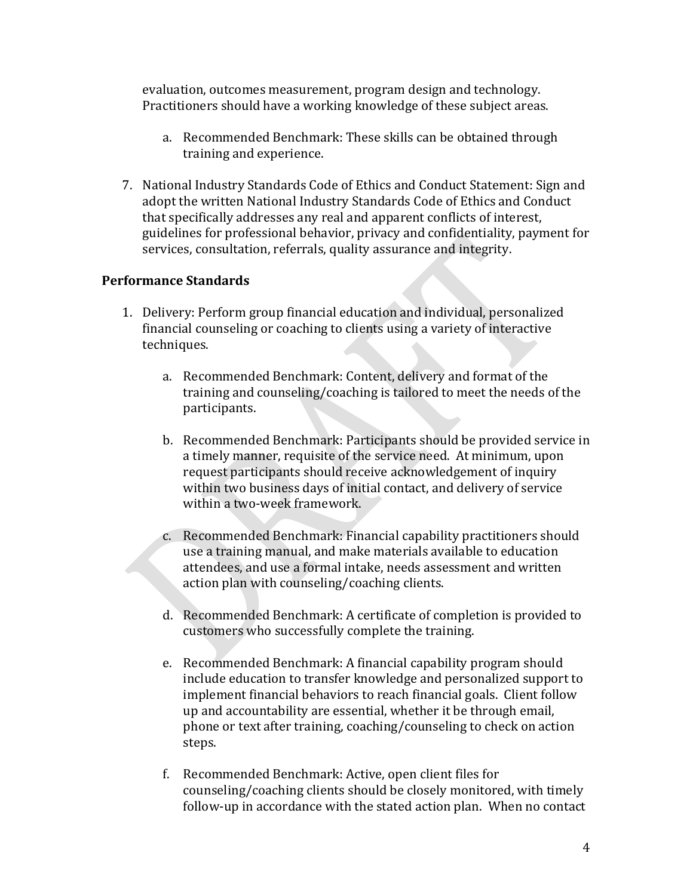evaluation, outcomes measurement, program design and technology. Practitioners should have a working knowledge of these subject areas.

- a. Recommended Benchmark: These skills can be obtained through training and experience.
- 7. National Industry Standards Code of Ethics and Conduct Statement: Sign and adopt the written National Industry Standards Code of Ethics and Conduct that specifically addresses any real and apparent conflicts of interest, guidelines for professional behavior, privacy and confidentiality, payment for services, consultation, referrals, quality assurance and integrity.

#### **Performance Standards**

- 1. Delivery: Perform group financial education and individual, personalized financial counseling or coaching to clients using a variety of interactive techniques.
	- a. Recommended Benchmark: Content, delivery and format of the training and counseling/coaching is tailored to meet the needs of the participants.
	- b. Recommended Benchmark: Participants should be provided service in a timely manner, requisite of the service need. At minimum, upon request participants should receive acknowledgement of inquiry within two business days of initial contact, and delivery of service within a two-week framework.
	- c. Recommended Benchmark: Financial capability practitioners should use a training manual, and make materials available to education attendees, and use a formal intake, needs assessment and written action plan with counseling/coaching clients.
	- d. Recommended Benchmark: A certificate of completion is provided to customers who successfully complete the training.
	- e. Recommended Benchmark: A financial capability program should include education to transfer knowledge and personalized support to implement financial behaviors to reach financial goals. Client follow up and accountability are essential, whether it be through email, phone or text after training, coaching/counseling to check on action steps.
	- f. Recommended Benchmark: Active, open client files for counseling/coaching clients should be closely monitored, with timely follow-up in accordance with the stated action plan. When no contact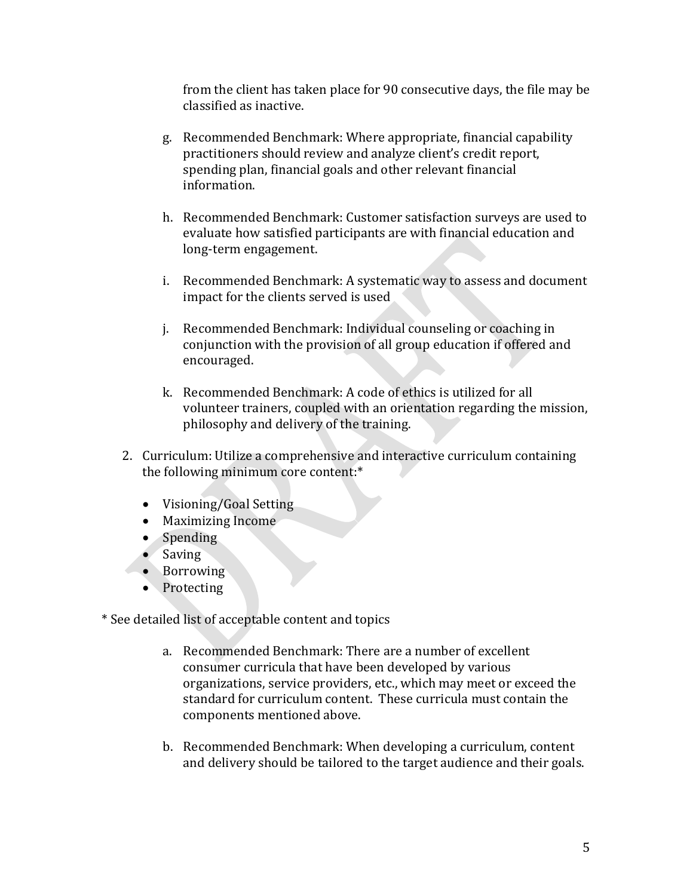from the client has taken place for 90 consecutive days, the file may be classified as inactive.

- g. Recommended Benchmark: Where appropriate, financial capability practitioners should review and analyze client's credit report, spending plan, financial goals and other relevant financial information.
- h. Recommended Benchmark: Customer satisfaction surveys are used to evaluate how satisfied participants are with financial education and long-term engagement.
- i. Recommended Benchmark: A systematic way to assess and document impact for the clients served is used
- j. Recommended Benchmark: Individual counseling or coaching in conjunction with the provision of all group education if offered and encouraged.
- k. Recommended Benchmark: A code of ethics is utilized for all volunteer trainers, coupled with an orientation regarding the mission, philosophy and delivery of the training.
- 2. Curriculum: Utilize a comprehensive and interactive curriculum containing the following minimum core content:\*
	- Visioning/Goal Setting
	- Maximizing Income
	- Spending
	- Saving
	- Borrowing
	- Protecting

\* See detailed list of acceptable content and topics

- a. Recommended Benchmark: There are a number of excellent consumer curricula that have been developed by various organizations, service providers, etc., which may meet or exceed the standard for curriculum content. These curricula must contain the components mentioned above.
- b. Recommended Benchmark: When developing a curriculum, content and delivery should be tailored to the target audience and their goals.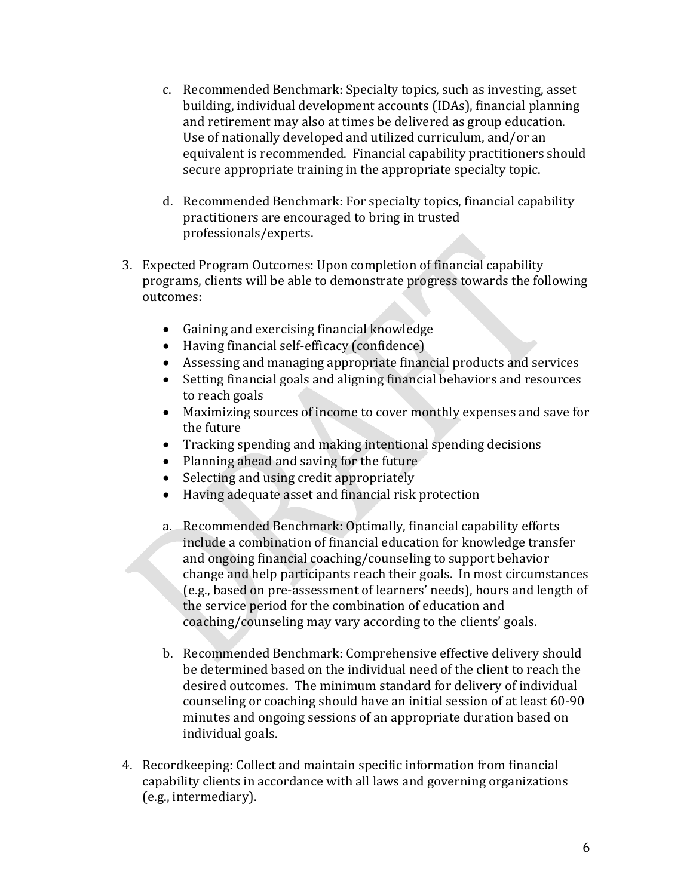- c. Recommended Benchmark: Specialty topics, such as investing, asset building, individual development accounts (IDAs), financial planning and retirement may also at times be delivered as group education. Use of nationally developed and utilized curriculum, and/or an equivalent is recommended. Financial capability practitioners should secure appropriate training in the appropriate specialty topic.
- d. Recommended Benchmark: For specialty topics, financial capability practitioners are encouraged to bring in trusted professionals/experts.
- 3. Expected Program Outcomes: Upon completion of financial capability programs, clients will be able to demonstrate progress towards the following outcomes:
	- Gaining and exercising financial knowledge
	- Having financial self-efficacy (confidence)
	- Assessing and managing appropriate financial products and services<br>• Setting financial goals and aligning financial behaviors and resources
	- Setting financial goals and aligning financial behaviors and resources to reach goals
	- Maximizing sources of income to cover monthly expenses and save for the future
	- Tracking spending and making intentional spending decisions
	- Planning ahead and saving for the future<br>• Selecting and using credit appropriately
	- Selecting and using credit appropriately
	- Having adequate asset and financial risk protection
	- a. Recommended Benchmark: Optimally, financial capability efforts include a combination of financial education for knowledge transfer and ongoing financial coaching/counseling to support behavior change and help participants reach their goals. In most circumstances (e.g., based on pre-assessment of learners' needs), hours and length of the service period for the combination of education and coaching/counseling may vary according to the clients' goals.
	- b. Recommended Benchmark: Comprehensive effective delivery should be determined based on the individual need of the client to reach the desired outcomes. The minimum standard for delivery of individual counseling or coaching should have an initial session of at least 60-90 minutes and ongoing sessions of an appropriate duration based on individual goals.
- 4. Recordkeeping: Collect and maintain specific information from financial capability clients in accordance with all laws and governing organizations (e.g., intermediary).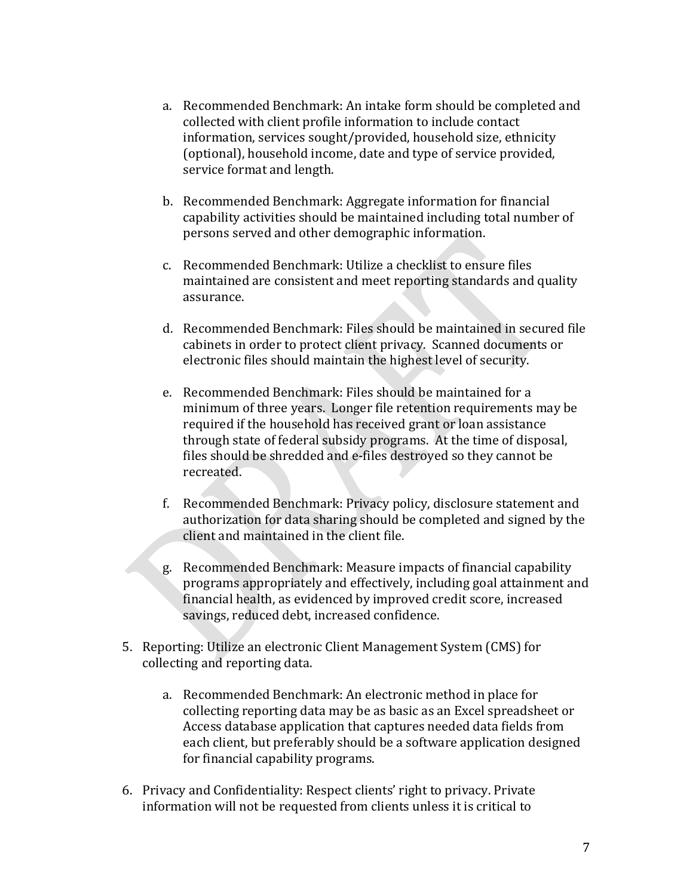- a. Recommended Benchmark: An intake form should be completed and collected with client profile information to include contact information, services sought/provided, household size, ethnicity (optional), household income, date and type of service provided, service format and length.
- b. Recommended Benchmark: Aggregate information for financial capability activities should be maintained including total number of persons served and other demographic information.
- c. Recommended Benchmark: Utilize a checklist to ensure files maintained are consistent and meet reporting standards and quality assurance.
- d. Recommended Benchmark: Files should be maintained in secured file cabinets in order to protect client privacy. Scanned documents or electronic files should maintain the highest level of security.
- e. Recommended Benchmark: Files should be maintained for a minimum of three years. Longer file retention requirements may be required if the household has received grant or loan assistance through state of federal subsidy programs. At the time of disposal, files should be shredded and e-files destroyed so they cannot be recreated.
- f. Recommended Benchmark: Privacy policy, disclosure statement and authorization for data sharing should be completed and signed by the client and maintained in the client file.
- g. Recommended Benchmark: Measure impacts of financial capability programs appropriately and effectively, including goal attainment and financial health, as evidenced by improved credit score, increased savings, reduced debt, increased confidence.
- 5. Reporting: Utilize an electronic Client Management System (CMS) for collecting and reporting data.
	- a. Recommended Benchmark: An electronic method in place for collecting reporting data may be as basic as an Excel spreadsheet or Access database application that captures needed data fields from each client, but preferably should be a software application designed for financial capability programs.
- 6. Privacy and Confidentiality: Respect clients' right to privacy. Private information will not be requested from clients unless it is critical to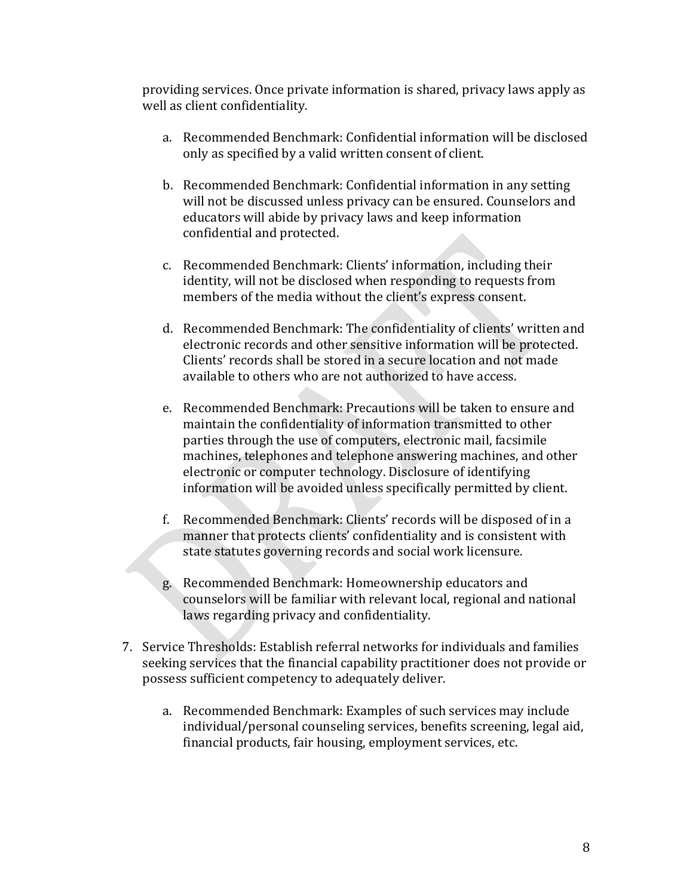providing services. Once private information is shared, privacy laws apply as well as client confidentiality.

- a. Recommended Benchmark: Confidential information will be disclosed only as specified by a valid written consent of client.
- b. Recommended Benchmark: Confidential information in any setting will not be discussed unless privacy can be ensured. Counselors and educators will abide by privacy laws and keep information confidential and protected.
- c. Recommended Benchmark: Clients' information, including their identity, will not be disclosed when responding to requests from members of the media without the client's express consent.
- d. Recommended Benchmark: The confidentiality of clients' written and electronic records and other sensitive information will be protected. Clients' records shall be stored in a secure location and not made available to others who are not authorized to have access.
- e. Recommended Benchmark: Precautions will be taken to ensure and maintain the confidentiality of information transmitted to other parties through the use of computers, electronic mail, facsimile machines, telephones and telephone answering machines, and other electronic or computer technology. Disclosure of identifying information will be avoided unless specifically permitted by client.
- f. Recommended Benchmark: Clients' records will be disposed of in a manner that protects clients' confidentiality and is consistent with state statutes governing records and social work licensure.
- g. Recommended Benchmark: Homeownership educators and counselors will be familiar with relevant local, regional and national laws regarding privacy and confidentiality.
- 7. Service Thresholds: Establish referral networks for individuals and families seeking services that the financial capability practitioner does not provide or possess sufficient competency to adequately deliver.
	- a. Recommended Benchmark: Examples of such services may include individual/personal counseling services, benefits screening, legal aid, financial products, fair housing, employment services, etc.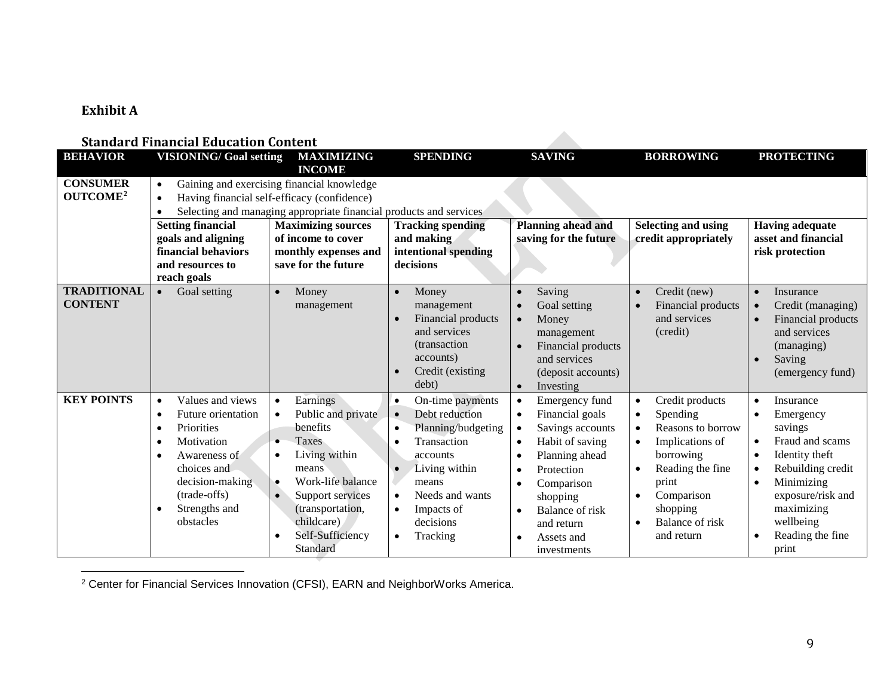## **Exhibit A**

#### **Standard Financial Education Content**

| <b>BEHAVIOR</b>                         | <b>VISIONING/ Goal setting</b>                                                                                                                                                                                                           | <b>MAXIMIZING</b>                                                                                                                                                                                                                                                                          | <b>SPENDING</b>                                                                                                                                                                                                                          | <b>SAVING</b>                                                                                                                                                                                                                                                                                                                | <b>BORROWING</b>                                                                                                                                                                                                                                       | <b>PROTECTING</b>                                                                                                                                                                                                                                                                 |
|-----------------------------------------|------------------------------------------------------------------------------------------------------------------------------------------------------------------------------------------------------------------------------------------|--------------------------------------------------------------------------------------------------------------------------------------------------------------------------------------------------------------------------------------------------------------------------------------------|------------------------------------------------------------------------------------------------------------------------------------------------------------------------------------------------------------------------------------------|------------------------------------------------------------------------------------------------------------------------------------------------------------------------------------------------------------------------------------------------------------------------------------------------------------------------------|--------------------------------------------------------------------------------------------------------------------------------------------------------------------------------------------------------------------------------------------------------|-----------------------------------------------------------------------------------------------------------------------------------------------------------------------------------------------------------------------------------------------------------------------------------|
|                                         |                                                                                                                                                                                                                                          | <b>INCOME</b>                                                                                                                                                                                                                                                                              |                                                                                                                                                                                                                                          |                                                                                                                                                                                                                                                                                                                              |                                                                                                                                                                                                                                                        |                                                                                                                                                                                                                                                                                   |
| <b>CONSUMER</b><br>OUTCOME <sup>2</sup> | $\bullet$<br>$\bullet$<br>$\bullet$<br><b>Setting financial</b><br>goals and aligning<br>financial behaviors<br>and resources to                                                                                                         | Gaining and exercising financial knowledge<br>Having financial self-efficacy (confidence)<br>Selecting and managing appropriate financial products and services<br><b>Maximizing sources</b><br>of income to cover<br>monthly expenses and<br>save for the future                          | <b>Tracking spending</b><br>and making<br>intentional spending<br>decisions                                                                                                                                                              | <b>Planning ahead and</b><br>saving for the future                                                                                                                                                                                                                                                                           | <b>Selecting and using</b><br>credit appropriately                                                                                                                                                                                                     | <b>Having adequate</b><br>asset and financial<br>risk protection                                                                                                                                                                                                                  |
| <b>TRADITIONAL</b><br><b>CONTENT</b>    | reach goals<br>Goal setting<br>$\bullet$                                                                                                                                                                                                 | Money<br>$\bullet$<br>management                                                                                                                                                                                                                                                           | Money<br>$\bullet$<br>management<br>Financial products<br>and services<br>(transaction)<br>accounts)<br>Credit (existing)<br>debt)                                                                                                       | Saving<br>$\bullet$<br>Goal setting<br>$\bullet$<br>Money<br>$\bullet$<br>management<br>Financial products<br>$\bullet$<br>and services<br>(deposit accounts)<br>Investing<br>$\bullet$                                                                                                                                      | Credit (new)<br>$\bullet$<br>Financial products<br>and services<br>(credit)                                                                                                                                                                            | Insurance<br>$\bullet$<br>Credit (managing)<br>$\bullet$<br>Financial products<br>$\bullet$<br>and services<br>(managing)<br>Saving<br>(emergency fund)                                                                                                                           |
| <b>KEY POINTS</b>                       | Values and views<br>$\bullet$<br>Future orientation<br>$\bullet$<br>Priorities<br>$\bullet$<br>Motivation<br>$\bullet$<br>Awareness of<br>$\bullet$<br>choices and<br>decision-making<br>(trade-offs)<br>Strengths and<br>٠<br>obstacles | Earnings<br>$\bullet$<br>Public and private<br>$\bullet$<br>benefits<br><b>Taxes</b><br>$\bullet$<br>Living within<br>$\bullet$<br>means<br>Work-life balance<br>$\bullet$<br>$\bullet$<br>Support services<br>(transportation,<br>childcare)<br>Self-Sufficiency<br>$\bullet$<br>Standard | On-time payments<br>$\bullet$<br>Debt reduction<br>$\bullet$<br>Planning/budgeting<br>Transaction<br>accounts<br>Living within<br>means<br>Needs and wants<br>$\bullet$<br>Impacts of<br>$\bullet$<br>decisions<br>Tracking<br>$\bullet$ | Emergency fund<br>$\bullet$<br>Financial goals<br>$\bullet$<br>Savings accounts<br>$\bullet$<br>Habit of saving<br>$\bullet$<br>Planning ahead<br>$\bullet$<br>Protection<br>$\bullet$<br>Comparison<br>$\bullet$<br>shopping<br><b>Balance of risk</b><br>$\bullet$<br>and return<br>Assets and<br>$\bullet$<br>investments | Credit products<br>$\bullet$<br>Spending<br>$\bullet$<br>Reasons to borrow<br>$\bullet$<br>Implications of<br>borrowing<br>Reading the fine<br>$\bullet$<br>print<br>Comparison<br>$\bullet$<br>shopping<br>Balance of risk<br>$\bullet$<br>and return | Insurance<br>$\bullet$<br>Emergency<br>$\bullet$<br>savings<br>Fraud and scams<br>$\bullet$<br>Identity theft<br>$\bullet$<br>Rebuilding credit<br>$\bullet$<br>Minimizing<br>$\bullet$<br>exposure/risk and<br>maximizing<br>wellbeing<br>Reading the fine<br>$\bullet$<br>print |

<span id="page-8-0"></span>

<sup>2</sup> Center for Financial Services Innovation (CFSI), EARN and NeighborWorks America.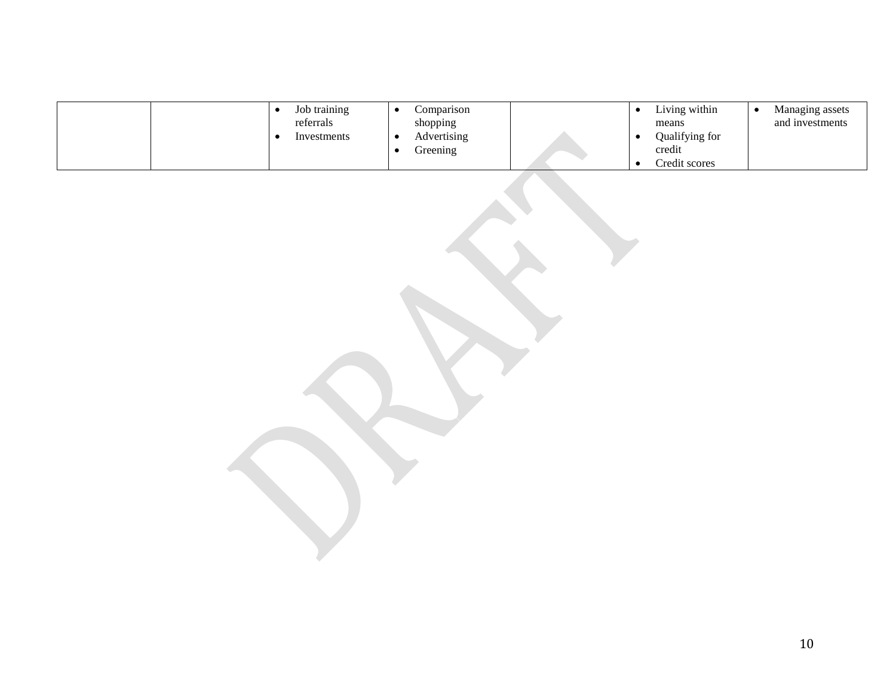|  | Job training<br>referrals<br>Investments | Comparison<br>shopping<br>Advertising<br>Greening |  | Living within<br>means<br>Qualifying for<br>credit<br>Credit scores | Managing assets<br>and investments |
|--|------------------------------------------|---------------------------------------------------|--|---------------------------------------------------------------------|------------------------------------|
|--|------------------------------------------|---------------------------------------------------|--|---------------------------------------------------------------------|------------------------------------|